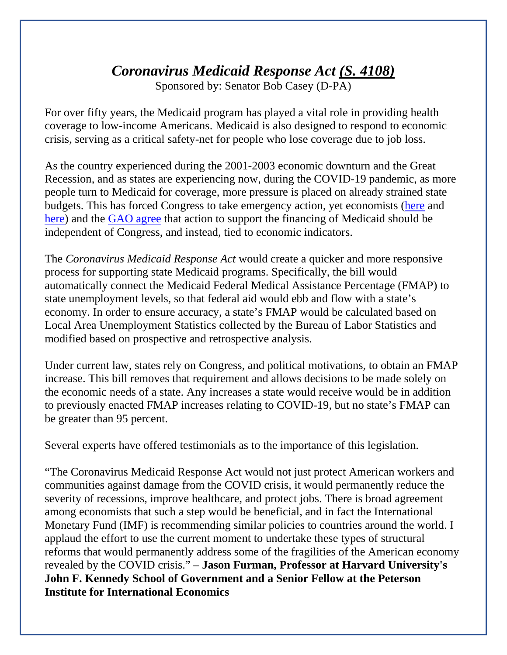## *Coronavirus Medicaid Response Act (S. 4108)*

Sponsored by: Senator Bob Casey (D-PA)

For over fifty years, the Medicaid program has played a vital role in providing health coverage to low-income Americans. Medicaid is also designed to respond to economic crisis, serving as a critical safety-net for people who lose coverage due to job loss.

As the country experienced during the 2001-2003 economic downturn and the Great Recession, and as states are experiencing now, during the COVID-19 pandemic, as more people turn to Medicaid for coverage, more pressure is placed on already strained state budgets. This has forced Congress to take emergency action, yet economists [\(here](https://www.brookings.edu/blog/usc-brookings-schaeffer-on-health-policy/2020/04/02/states-will-need-more-fiscal-relief-policymakers-should-make-that-happen-automatically/) and [here\)](https://ccf.georgetown.edu/2020/03/11/increase-in-federal-medicaid-matching-rate-should-be-essential-element-of-any-economic-stimulus/#_ga=2.12507700.1274914272.1592245003-417491045.1592245003) and the [GAO agree](https://www.gao.gov/products/GAO-16-377T) that action to support the financing of Medicaid should be independent of Congress, and instead, tied to economic indicators.

The *Coronavirus Medicaid Response Act* would create a quicker and more responsive process for supporting state Medicaid programs. Specifically, the bill would automatically connect the Medicaid Federal Medical Assistance Percentage (FMAP) to state unemployment levels, so that federal aid would ebb and flow with a state's economy. In order to ensure accuracy, a state's FMAP would be calculated based on Local Area Unemployment Statistics collected by the Bureau of Labor Statistics and modified based on prospective and retrospective analysis.

Under current law, states rely on Congress, and political motivations, to obtain an FMAP increase. This bill removes that requirement and allows decisions to be made solely on the economic needs of a state. Any increases a state would receive would be in addition to previously enacted FMAP increases relating to COVID-19, but no state's FMAP can be greater than 95 percent.

Several experts have offered testimonials as to the importance of this legislation.

"The Coronavirus Medicaid Response Act would not just protect American workers and communities against damage from the COVID crisis, it would permanently reduce the severity of recessions, improve healthcare, and protect jobs. There is broad agreement among economists that such a step would be beneficial, and in fact the International Monetary Fund (IMF) is recommending similar policies to countries around the world. I applaud the effort to use the current moment to undertake these types of structural reforms that would permanently address some of the fragilities of the American economy revealed by the COVID crisis." – **Jason Furman, Professor at Harvard University's John F. Kennedy School of Government and a Senior Fellow at the Peterson Institute for International Economics**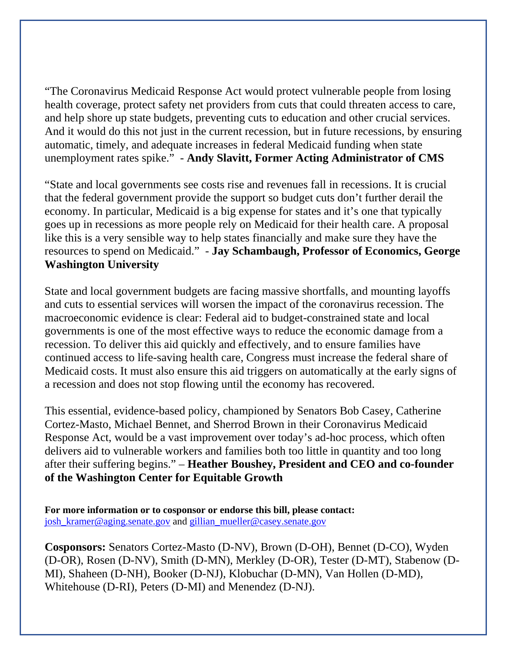"The Coronavirus Medicaid Response Act would protect vulnerable people from losing health coverage, protect safety net providers from cuts that could threaten access to care, and help shore up state budgets, preventing cuts to education and other crucial services. And it would do this not just in the current recession, but in future recessions, by ensuring automatic, timely, and adequate increases in federal Medicaid funding when state unemployment rates spike." - **Andy Slavitt, Former Acting Administrator of CMS**

"State and local governments see costs rise and revenues fall in recessions. It is crucial that the federal government provide the support so budget cuts don't further derail the economy. In particular, Medicaid is a big expense for states and it's one that typically goes up in recessions as more people rely on Medicaid for their health care. A proposal like this is a very sensible way to help states financially and make sure they have the resources to spend on Medicaid." - **Jay Schambaugh, Professor of Economics, George Washington University**

State and local government budgets are facing massive shortfalls, and mounting layoffs and cuts to essential services will worsen the impact of the coronavirus recession. The macroeconomic evidence is clear: Federal aid to budget-constrained state and local governments is one of the most effective ways to reduce the economic damage from a recession. To deliver this aid quickly and effectively, and to ensure families have continued access to life-saving health care, Congress must increase the federal share of Medicaid costs. It must also ensure this aid triggers on automatically at the early signs of a recession and does not stop flowing until the economy has recovered.

This essential, evidence-based policy, championed by Senators Bob Casey, Catherine Cortez-Masto, Michael Bennet, and Sherrod Brown in their Coronavirus Medicaid Response Act, would be a vast improvement over today's ad-hoc process, which often delivers aid to vulnerable workers and families both too little in quantity and too long after their suffering begins." – **Heather Boushey, President and CEO and co-founder of the Washington Center for Equitable Growth**

**For more information or to cosponsor or endorse this bill, please contact:**  [josh\\_kramer@aging.senate.gov](mailto:josh_kramer@aging.senate.gov) and [gillian\\_mueller@casey.senate.gov](mailto:gillian_mueller@casey.senate.gov)

**Cosponsors:** Senators Cortez-Masto (D-NV), Brown (D-OH), Bennet (D-CO), Wyden (D-OR), Rosen (D-NV), Smith (D-MN), Merkley (D-OR), Tester (D-MT), Stabenow (D-MI), Shaheen (D-NH), Booker (D-NJ), Klobuchar (D-MN), Van Hollen (D-MD), Whitehouse (D-RI), Peters (D-MI) and Menendez (D-NJ).